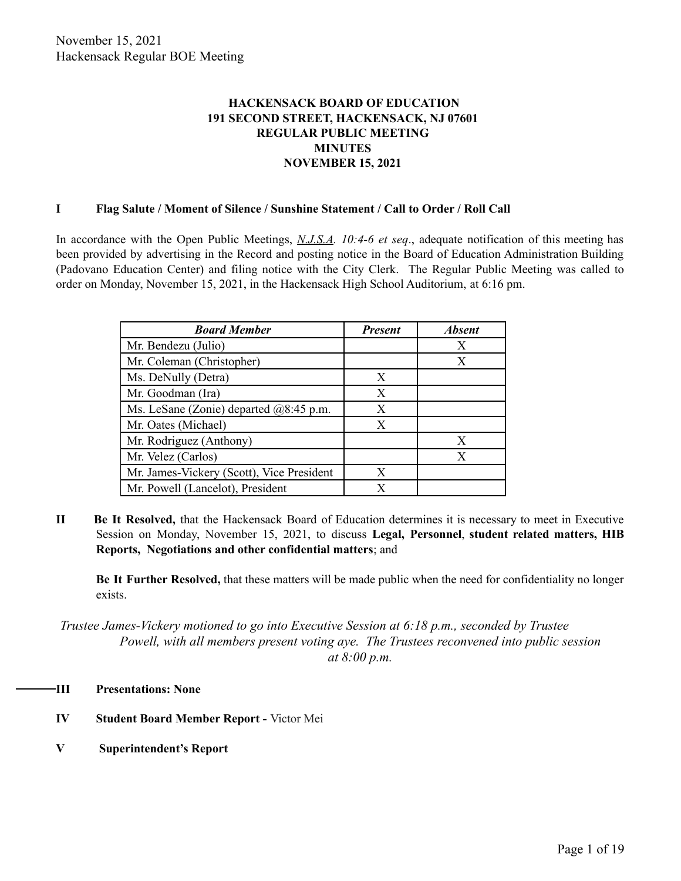## **HACKENSACK BOARD OF EDUCATION 191 SECOND STREET, HACKENSACK, NJ 07601 REGULAR PUBLIC MEETING MINUTES NOVEMBER 15, 2021**

## **I Flag Salute / Moment of Silence / Sunshine Statement / Call to Order / Roll Call**

In accordance with the Open Public Meetings, *N.J.S.A. 10:4-6 et seq*., adequate notification of this meeting has been provided by advertising in the Record and posting notice in the Board of Education Administration Building (Padovano Education Center) and filing notice with the City Clerk. The Regular Public Meeting was called to order on Monday, November 15, 2021, in the Hackensack High School Auditorium, at 6:16 pm.

| <b>Board Member</b>                                | <b>Present</b> | <b>Absent</b> |
|----------------------------------------------------|----------------|---------------|
| Mr. Bendezu (Julio)                                |                | Х             |
| Mr. Coleman (Christopher)                          |                | X             |
| Ms. DeNully (Detra)                                | X              |               |
| Mr. Goodman (Ira)                                  | X              |               |
| Ms. LeSane (Zonie) departed $(28.45 \text{ p.m.})$ | X              |               |
| Mr. Oates (Michael)                                | X              |               |
| Mr. Rodriguez (Anthony)                            |                | X             |
| Mr. Velez (Carlos)                                 |                | X             |
| Mr. James-Vickery (Scott), Vice President          | X              |               |
| Mr. Powell (Lancelot), President                   | X              |               |

**II Be It Resolved,** that the Hackensack Board of Education determines it is necessary to meet in Executive Session on Monday, November 15, 2021, to discuss **Legal, Personnel**, **student related matters, HIB Reports, Negotiations and other confidential matters**; and

**Be It Further Resolved,** that these matters will be made public when the need for confidentiality no longer exists.

*Trustee James-Vickery motioned to go into Executive Session at 6:18 p.m., seconded by Trustee Powell, with all members present voting aye. The Trustees reconvened into public session at 8:00 p.m.*

- **III Presentations: None**
	- **IV Student Board Member Report -** Victor Mei
	- **V Superintendent's Report**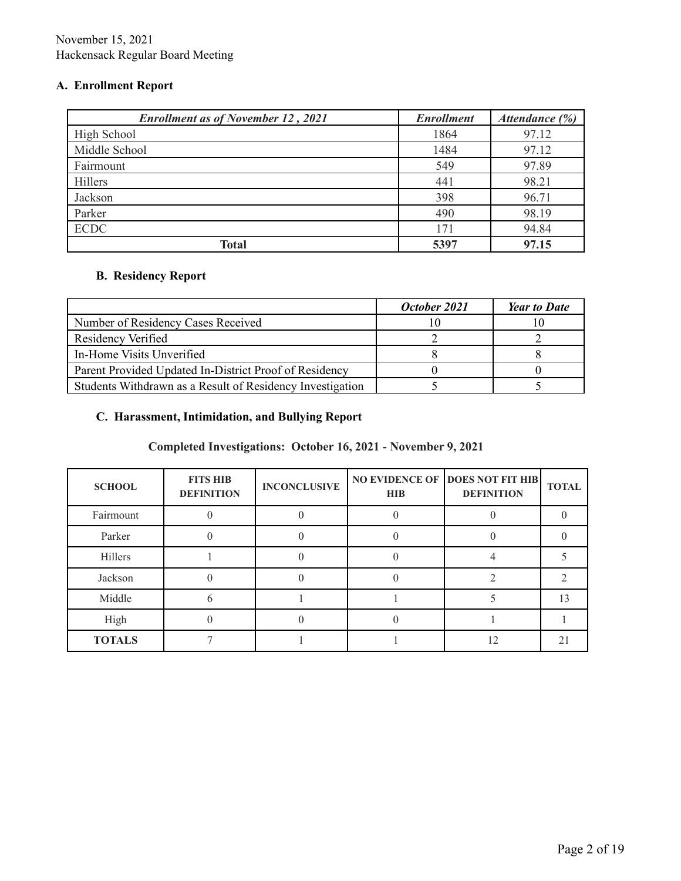# **A. Enrollment Report**

| <b>Enrollment as of November 12, 2021</b> | <b>Enrollment</b> | Attendance (%) |
|-------------------------------------------|-------------------|----------------|
| High School                               | 1864              | 97.12          |
| Middle School                             | 1484              | 97.12          |
| Fairmount                                 | 549               | 97.89          |
| Hillers                                   | 441               | 98.21          |
| Jackson                                   | 398               | 96.71          |
| Parker                                    | 490               | 98.19          |
| <b>ECDC</b>                               | 171               | 94.84          |
| Total                                     | 5397              | 97.15          |

# **B. Residency Report**

|                                                           | October 2021 | Year to Date |
|-----------------------------------------------------------|--------------|--------------|
| Number of Residency Cases Received                        |              |              |
| Residency Verified                                        |              |              |
| In-Home Visits Unverified                                 |              |              |
| Parent Provided Updated In-District Proof of Residency    |              |              |
| Students Withdrawn as a Result of Residency Investigation |              |              |

# **C. Harassment, Intimidation, and Bullying Report**

# **Completed Investigations: October 16, 2021 - November 9, 2021**

| <b>SCHOOL</b> | <b>FITS HIB</b><br><b>DEFINITION</b> | <b>INCONCLUSIVE</b> | <b>HIB</b> | <b>NO EVIDENCE OF DOES NOT FIT HIB</b><br><b>DEFINITION</b> | <b>TOTAL</b> |
|---------------|--------------------------------------|---------------------|------------|-------------------------------------------------------------|--------------|
| Fairmount     |                                      |                     |            |                                                             |              |
| Parker        |                                      |                     |            |                                                             |              |
| Hillers       |                                      |                     |            |                                                             |              |
| Jackson       |                                      |                     |            |                                                             |              |
| Middle        | h                                    |                     |            |                                                             | 13           |
| High          |                                      |                     |            |                                                             |              |
| <b>TOTALS</b> |                                      |                     |            |                                                             |              |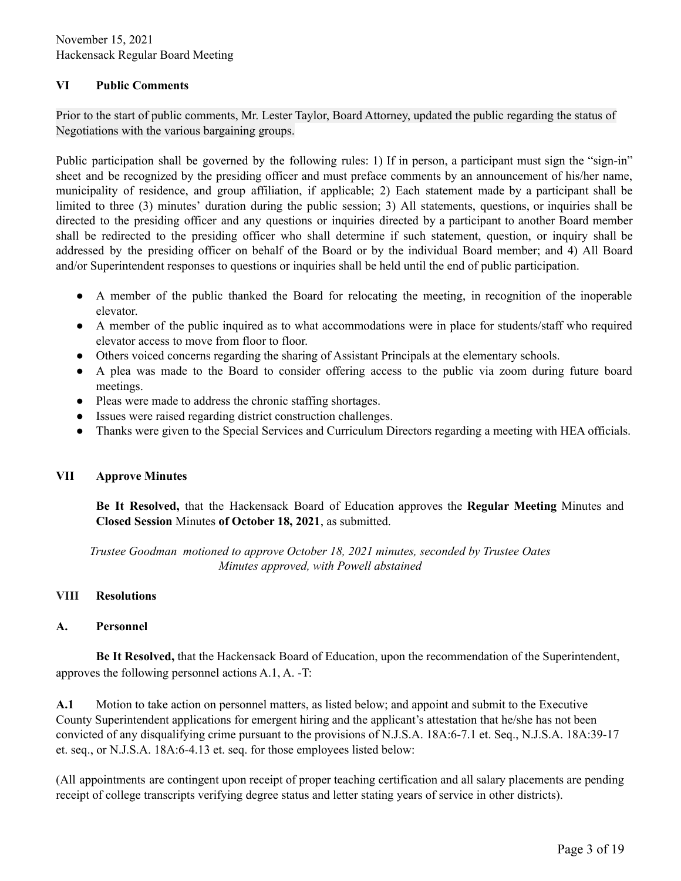## **VI Public Comments**

Prior to the start of public comments, Mr. Lester Taylor, Board Attorney, updated the public regarding the status of Negotiations with the various bargaining groups.

Public participation shall be governed by the following rules: 1) If in person, a participant must sign the "sign-in" sheet and be recognized by the presiding officer and must preface comments by an announcement of his/her name, municipality of residence, and group affiliation, if applicable; 2) Each statement made by a participant shall be limited to three (3) minutes' duration during the public session; 3) All statements, questions, or inquiries shall be directed to the presiding officer and any questions or inquiries directed by a participant to another Board member shall be redirected to the presiding officer who shall determine if such statement, question, or inquiry shall be addressed by the presiding officer on behalf of the Board or by the individual Board member; and 4) All Board and/or Superintendent responses to questions or inquiries shall be held until the end of public participation.

- A member of the public thanked the Board for relocating the meeting, in recognition of the inoperable elevator.
- A member of the public inquired as to what accommodations were in place for students/staff who required elevator access to move from floor to floor.
- Others voiced concerns regarding the sharing of Assistant Principals at the elementary schools.
- A plea was made to the Board to consider offering access to the public via zoom during future board meetings.
- Pleas were made to address the chronic staffing shortages.
- Issues were raised regarding district construction challenges.
- Thanks were given to the Special Services and Curriculum Directors regarding a meeting with HEA officials.

## **VII Approve Minutes**

**Be It Resolved,** that the Hackensack Board of Education approves the **Regular Meeting** Minutes and **Closed Session** Minutes **of October 18, 2021**, as submitted.

*Trustee Goodman motioned to approve October 18, 2021 minutes, seconded by Trustee Oates Minutes approved, with Powell abstained*

## **VIII Resolutions**

## **A. Personnel**

**Be It Resolved,** that the Hackensack Board of Education, upon the recommendation of the Superintendent, approves the following personnel actions A.1, A. -T:

**A.1** Motion to take action on personnel matters, as listed below; and appoint and submit to the Executive County Superintendent applications for emergent hiring and the applicant's attestation that he/she has not been convicted of any disqualifying crime pursuant to the provisions of N.J.S.A. 18A:6-7.1 et. Seq., N.J.S.A. 18A:39-17 et. seq., or N.J.S.A. 18A:6-4.13 et. seq. for those employees listed below:

(All appointments are contingent upon receipt of proper teaching certification and all salary placements are pending receipt of college transcripts verifying degree status and letter stating years of service in other districts).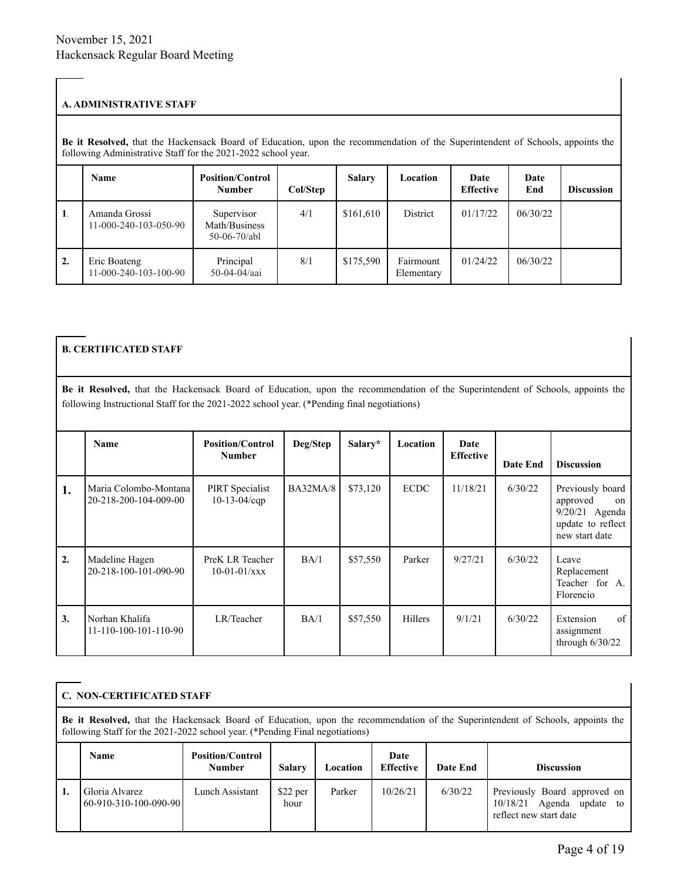#### **A. ADMINISTRATIVE STAFF**

**Be it Resolved,** that the Hackensack Board of Education, upon the recommendation of the Superintendent of Schools, appoints the following Administrative Staff for the 2021-2022 school year.

|                  | Name                                    | <b>Position/Control</b><br><b>Number</b>      | Col/Step | <b>Salary</b> | Location                | Date<br><b>Effective</b> | Date<br>End | <b>Discussion</b> |
|------------------|-----------------------------------------|-----------------------------------------------|----------|---------------|-------------------------|--------------------------|-------------|-------------------|
| 1.               | Amanda Grossi<br>11-000-240-103-050-90  | Supervisor<br>Math/Business<br>$50-06-70/ab1$ | 4/1      | \$161,610     | District                | 01/17/22                 | 06/30/22    |                   |
| $\overline{2}$ . | Eric Boateng<br>$11-000-240-103-100-90$ | Principal<br>50-04-04/aai                     | 8/1      | \$175,590     | Fairmount<br>Elementary | 01/24/22                 | 06/30/22    |                   |

## **B. CERTIFICATED STAFF**

**Be it Resolved,** that the Hackensack Board of Education, upon the recommendation of the Superintendent of Schools, appoints the following Instructional Staff for the 2021-2022 school year. (\*Pending final negotiations)

|    | Name                                           | <b>Position/Control</b><br><b>Number</b>      | Deg/Step        | Salary*  | Location    | Date<br><b>Effective</b> | Date End | <b>Discussion</b>                                                                           |
|----|------------------------------------------------|-----------------------------------------------|-----------------|----------|-------------|--------------------------|----------|---------------------------------------------------------------------------------------------|
| 1. | Maria Colombo-Montana<br>20-218-200-104-009-00 | <b>PIRT</b> Specialist<br>$10 - 13 - 04$ /cqp | <b>BA32MA/8</b> | \$73,120 | <b>ECDC</b> | 11/18/21                 | 6/30/22  | Previously board<br>approved<br>on<br>9/20/21 Agenda<br>update to reflect<br>new start date |
| 2. | Madeline Hagen<br>20-218-100-101-090-90        | PreK LR Teacher<br>$10-01-01/xxx$             | BA/1            | \$57,550 | Parker      | 9/27/21                  | 6/30/22  | Leave<br>Replacement<br>Teacher for A.<br>Florencio                                         |
| 3. | Norhan Khalifa<br>$11-110-100-101-110-90$      | LR/Teacher                                    | BA/1            | \$57,550 | Hillers     | 9/1/21                   | 6/30/22  | of<br>Extension<br>assignment<br>through $6/30/22$                                          |

## **C. NON-CERTIFICATED STAFF**

**Be it Resolved,** that the Hackensack Board of Education, upon the recommendation of the Superintendent of Schools, appoints the following Staff for the 2021-2022 school year. (\*Pending Final negotiations)

| <b>Name</b>                               | <b>Position/Control</b><br><b>Number</b> | Salary            | Location | Date<br><b>Effective</b> | Date End | <b>Discussion</b>                                                                      |
|-------------------------------------------|------------------------------------------|-------------------|----------|--------------------------|----------|----------------------------------------------------------------------------------------|
| Gloria Alvarez<br>$60-910-310-100-090-90$ | Lunch Assistant                          | $$22$ per<br>hour | Parker   | 10/26/21                 | 6/30/22  | Previously Board approved on<br>Agenda update to<br>10/18/21<br>reflect new start date |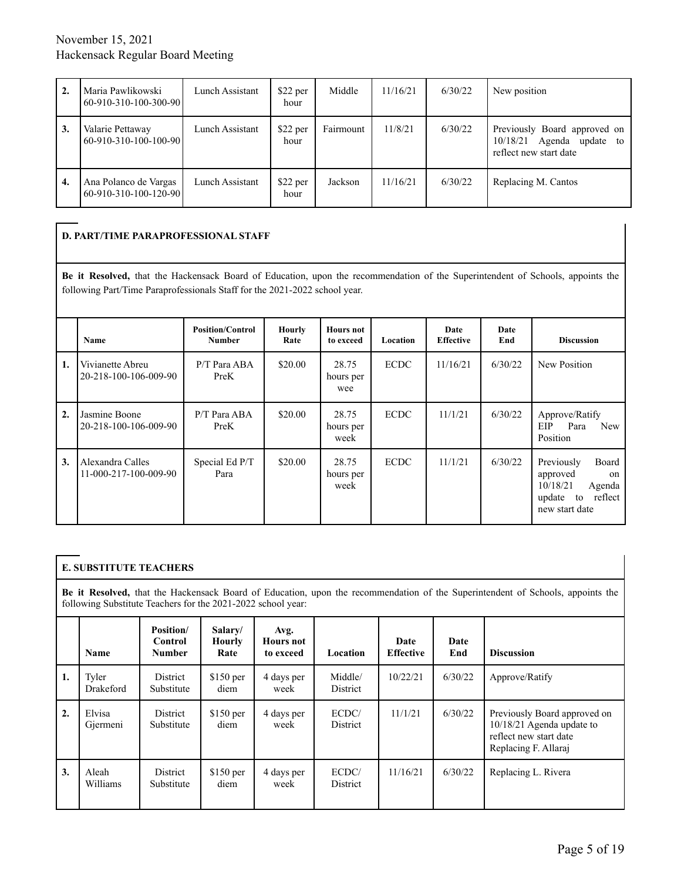| 2. | Maria Pawlikowski<br>  60-910-310-100-300-90   | Lunch Assistant | $$22$ per<br>hour | Middle    | 11/16/21 | 6/30/22 | New position                                                                           |
|----|------------------------------------------------|-----------------|-------------------|-----------|----------|---------|----------------------------------------------------------------------------------------|
| 3. | Valarie Pettaway<br>60-910-310-100-100-90      | Lunch Assistant | $$22$ per<br>hour | Fairmount | 11/8/21  | 6/30/22 | Previously Board approved on<br>Agenda update to<br>10/18/21<br>reflect new start date |
| 4. | Ana Polanco de Vargas<br>60-910-310-100-120-90 | Lunch Assistant | \$22 per<br>hour  | Jackson   | 11/16/21 | 6/30/22 | Replacing M. Cantos                                                                    |

## **D. PART/TIME PARAPROFESSIONAL STAFF**

**Be it Resolved,** that the Hackensack Board of Education, upon the recommendation of the Superintendent of Schools, appoints the following Part/Time Paraprofessionals Staff for the 2021-2022 school year.

|    | Name                                      | <b>Position/Control</b><br><b>Number</b> | <b>Hourly</b><br>Rate | <b>Hours not</b><br>to exceed | Location    | Date<br><b>Effective</b> | Date<br>End | <b>Discussion</b>                                                                                              |
|----|-------------------------------------------|------------------------------------------|-----------------------|-------------------------------|-------------|--------------------------|-------------|----------------------------------------------------------------------------------------------------------------|
| 1. | Vivianette Abreu<br>20-218-100-106-009-90 | P/T Para ABA<br>PreK                     | \$20.00               | 28.75<br>hours per<br>wee     | <b>ECDC</b> | 11/16/21                 | 6/30/22     | New Position                                                                                                   |
| 2. | Jasmine Boone<br>20-218-100-106-009-90    | P/T Para ABA<br>PreK                     | \$20.00               | 28.75<br>hours per<br>week    | <b>ECDC</b> | 11/1/21                  | 6/30/22     | Approve/Ratify<br><b>New</b><br>EIP<br>Para<br>Position                                                        |
| 3. | Alexandra Calles<br>11-000-217-100-009-90 | Special Ed P/T<br>Para                   | \$20.00               | 28.75<br>hours per<br>week    | <b>ECDC</b> | 11/1/21                  | 6/30/22     | Previously<br>Board<br>approved<br>$\alpha$<br>10/18/21<br>Agenda<br>reflect<br>update<br>to<br>new start date |

## **E. SUBSTITUTE TEACHERS**

**Be it Resolved,** that the Hackensack Board of Education, upon the recommendation of the Superintendent of Schools, appoints the following Substitute Teachers for the 2021-2022 school year:

|    | <b>Name</b>        | Position/<br>Control<br><b>Number</b> | Salary/<br>Hourly<br>Rate | Avg.<br><b>Hours</b> not<br>to exceed | Location                 | Date<br><b>Effective</b> | Date<br>End | <b>Discussion</b>                                                                                           |
|----|--------------------|---------------------------------------|---------------------------|---------------------------------------|--------------------------|--------------------------|-------------|-------------------------------------------------------------------------------------------------------------|
| 1. | Tyler<br>Drakeford | District<br>Substitute                | $$150$ per<br>diem        | 4 days per<br>week                    | Middle/<br>District      | 10/22/21                 | 6/30/22     | Approve/Ratify                                                                                              |
| 2. | Elvisa<br>Gjermeni | District<br>Substitute                | $$150$ per<br>diem        | 4 days per<br>week                    | ECDC/<br>District        | 11/1/21                  | 6/30/22     | Previously Board approved on<br>10/18/21 Agenda update to<br>reflect new start date<br>Replacing F. Allaraj |
| 3. | Aleah<br>Williams  | District<br>Substitute                | $$150$ per<br>diem        | 4 days per<br>week                    | ECDC/<br><b>District</b> | 11/16/21                 | 6/30/22     | Replacing L. Rivera                                                                                         |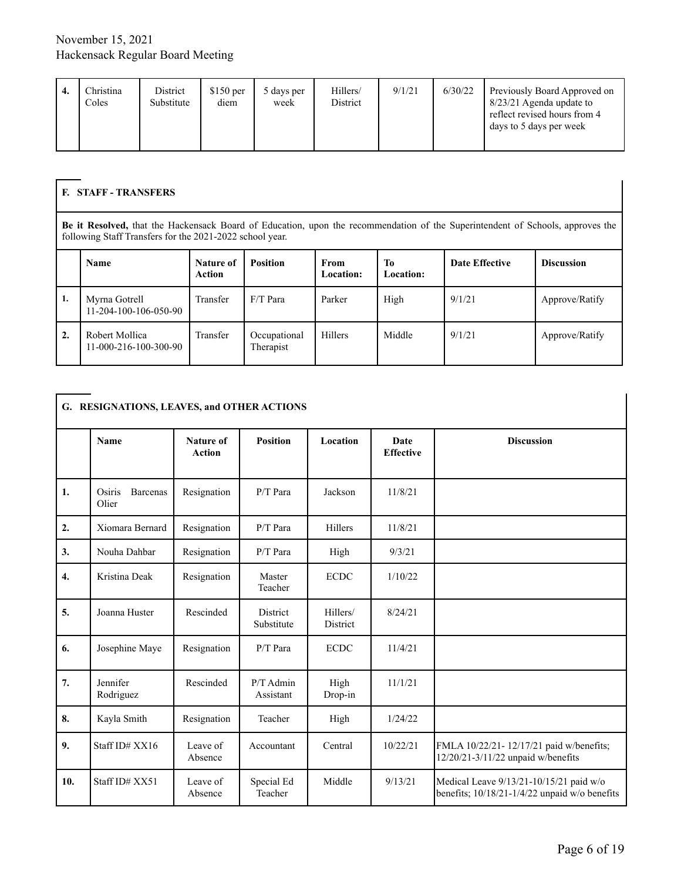|  | Christina<br>Coles | District<br>Substitute | $$150$ per<br>diem | 5 days per<br>week | Hillers/<br>District | 9/1/21 | 6/30/22 | Previously Board Approved on<br>8/23/21 Agenda update to<br>reflect revised hours from 4<br>days to 5 days per week |
|--|--------------------|------------------------|--------------------|--------------------|----------------------|--------|---------|---------------------------------------------------------------------------------------------------------------------|
|--|--------------------|------------------------|--------------------|--------------------|----------------------|--------|---------|---------------------------------------------------------------------------------------------------------------------|

#### **F. STAFF - TRANSFERS**

**Be it Resolved,** that the Hackensack Board of Education, upon the recommendation of the Superintendent of Schools, approves the following Staff Transfers for the 2021-2022 school year.

|    | Name                                      | Nature of<br><b>Action</b> | <b>Position</b>           | <b>From</b><br><b>Location:</b> | To<br><b>Location:</b> | <b>Date Effective</b> | <b>Discussion</b> |
|----|-------------------------------------------|----------------------------|---------------------------|---------------------------------|------------------------|-----------------------|-------------------|
| 1. | Myrna Gotrell<br>11-204-100-106-050-90    | Transfer                   | $F/T$ Para                | Parker                          | High                   | 9/1/21                | Approve/Ratify    |
| 2. | Robert Mollica<br>$11-000-216-100-300-90$ | Transfer                   | Occupational<br>Therapist | <b>Hillers</b>                  | Middle                 | 9/1/21                | Approve/Ratify    |

## **G. RESIGNATIONS, LEAVES, and OTHER ACTIONS**

|                  | <b>Name</b>                 | Nature of<br><b>Action</b> | <b>Position</b>          | Location             | Date<br><b>Effective</b> | <b>Discussion</b>                                                                        |
|------------------|-----------------------------|----------------------------|--------------------------|----------------------|--------------------------|------------------------------------------------------------------------------------------|
| 1.               | Osiris<br>Barcenas<br>Olier | Resignation                | $P/T$ Para               | Jackson              | 11/8/21                  |                                                                                          |
| 2.               | Xiomara Bernard             | Resignation                | $P/T$ Para               | Hillers              | 11/8/21                  |                                                                                          |
| 3.               | Nouha Dahbar                | Resignation                | $P/T$ Para               | High                 | 9/3/21                   |                                                                                          |
| $\overline{4}$ . | Kristina Deak               | Resignation                | Master<br>Teacher        | <b>ECDC</b>          | 1/10/22                  |                                                                                          |
| 5.               | Joanna Huster               | Rescinded                  | District<br>Substitute   | Hillers/<br>District | 8/24/21                  |                                                                                          |
| 6.               | Josephine Maye              | Resignation                | $P/T$ Para               | <b>ECDC</b>          | 11/4/21                  |                                                                                          |
| 7.               | Jennifer<br>Rodriguez       | Rescinded                  | $P/T$ Admin<br>Assistant | High<br>Drop-in      | 11/1/21                  |                                                                                          |
| 8.               | Kayla Smith                 | Resignation                | Teacher                  | High                 | 1/24/22                  |                                                                                          |
| 9.               | Staff ID# XX16              | Leave of<br>Absence        | Accountant               | Central              | 10/22/21                 | FMLA 10/22/21-12/17/21 paid w/benefits;<br>12/20/21-3/11/22 unpaid w/benefits            |
| 10.              | Staff ID# XX51              | Leave of<br>Absence        | Special Ed<br>Teacher    | Middle               | 9/13/21                  | Medical Leave 9/13/21-10/15/21 paid w/o<br>benefits; 10/18/21-1/4/22 unpaid w/o benefits |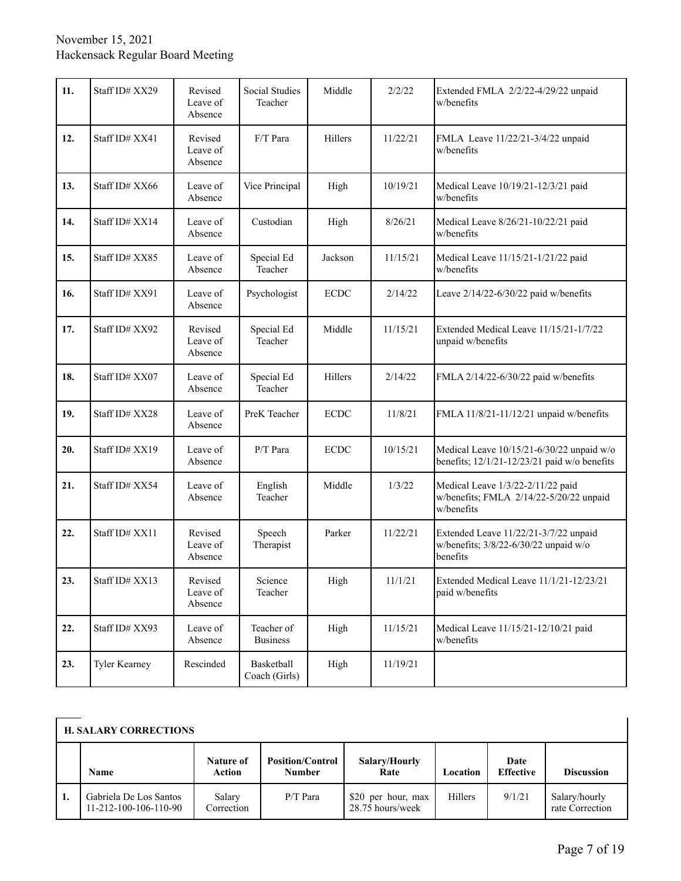| 11. | Staff ID# XX29 | Revised<br>Leave of<br>Absence | Social Studies<br>Teacher     | Middle      | 2/2/22   | Extended FMLA 2/2/22-4/29/22 unpaid<br>w/benefits                                             |
|-----|----------------|--------------------------------|-------------------------------|-------------|----------|-----------------------------------------------------------------------------------------------|
| 12. | Staff ID# XX41 | Revised<br>Leave of<br>Absence | F/T Para                      | Hillers     | 11/22/21 | FMLA Leave 11/22/21-3/4/22 unpaid<br>w/benefits                                               |
| 13. | Staff ID# XX66 | Leave of<br>Absence            | Vice Principal                | High        | 10/19/21 | Medical Leave 10/19/21-12/3/21 paid<br>w/benefits                                             |
| 14. | Staff ID# XX14 | Leave of<br>Absence            | Custodian                     | High        | 8/26/21  | Medical Leave 8/26/21-10/22/21 paid<br>w/benefits                                             |
| 15. | Staff ID# XX85 | Leave of<br>Absence            | Special Ed<br>Teacher         | Jackson     | 11/15/21 | Medical Leave 11/15/21-1/21/22 paid<br>w/benefits                                             |
| 16. | Staff ID# XX91 | Leave of<br>Absence            | Psychologist                  | <b>ECDC</b> | 2/14/22  | Leave 2/14/22-6/30/22 paid w/benefits                                                         |
| 17. | Staff ID# XX92 | Revised<br>Leave of<br>Absence | Special Ed<br>Teacher         | Middle      | 11/15/21 | Extended Medical Leave 11/15/21-1/7/22<br>unpaid w/benefits                                   |
| 18. | Staff ID# XX07 | Leave of<br>Absence            | Special Ed<br>Teacher         | Hillers     | 2/14/22  | FMLA 2/14/22-6/30/22 paid w/benefits                                                          |
| 19. | Staff ID# XX28 | Leave of<br>Absence            | PreK Teacher                  | <b>ECDC</b> | 11/8/21  | FMLA 11/8/21-11/12/21 unpaid w/benefits                                                       |
| 20. | Staff ID# XX19 | Leave of<br>Absence            | P/T Para                      | <b>ECDC</b> | 10/15/21 | Medical Leave 10/15/21-6/30/22 unpaid w/o<br>benefits; $12/1/21 - 12/23/21$ paid w/o benefits |
| 21. | Staff ID# XX54 | Leave of<br>Absence            | English<br>Teacher            | Middle      | 1/3/22   | Medical Leave 1/3/22-2/11/22 paid<br>w/benefits; FMLA 2/14/22-5/20/22 unpaid<br>w/benefits    |
| 22. | Staff ID# XX11 | Revised<br>Leave of<br>Absence | Speech<br>Therapist           | Parker      | 11/22/21 | Extended Leave 11/22/21-3/7/22 unpaid<br>w/benefits; 3/8/22-6/30/22 unpaid w/o<br>benefits    |
| 23. | Staff ID# XX13 | Revised<br>Leave of<br>Absence | Science<br>Teacher            | High        | 11/1/21  | Extended Medical Leave 11/1/21-12/23/21<br>paid w/benefits                                    |
| 22. | Staff ID# XX93 | Leave of<br>Absence            | Teacher of<br><b>Business</b> | High        | 11/15/21 | Medical Leave 11/15/21-12/10/21 paid<br>w/benefits                                            |
| 23. | Tyler Kearney  | Rescinded                      | Basketball<br>Coach (Girls)   | High        | 11/19/21 |                                                                                               |

# **H. SALARY CORRECTIONS**

|    | <b>H. SALARY CORRECTIONS</b>                    |                            |                                          |                                        |          |                          |                                  |  |
|----|-------------------------------------------------|----------------------------|------------------------------------------|----------------------------------------|----------|--------------------------|----------------------------------|--|
|    | Name                                            | Nature of<br><b>Action</b> | <b>Position/Control</b><br><b>Number</b> | Salary/Hourly<br>Rate                  | Location | Date<br><b>Effective</b> | <b>Discussion</b>                |  |
| 1. | Gabriela De Los Santos<br>11-212-100-106-110-90 | Salary<br>Correction       | $P/T$ Para                               | \$20 per hour, max<br>28.75 hours/week | Hillers  | 9/1/21                   | Salary/hourly<br>rate Correction |  |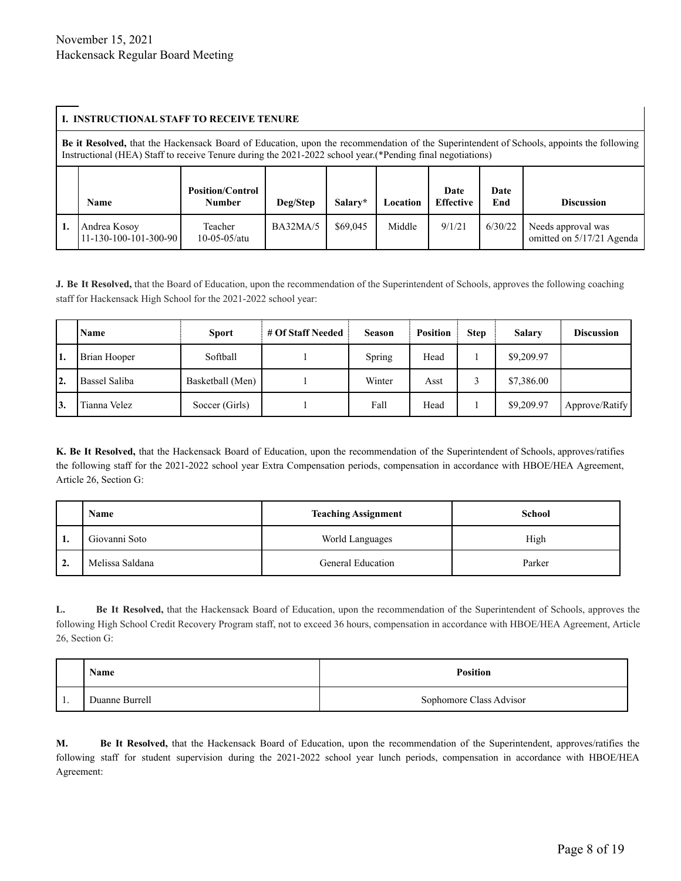#### **I. INSTRUCTIONAL STAFF TO RECEIVE TENURE**

**Be it Resolved,** that the Hackensack Board of Education, upon the recommendation of the Superintendent of Schools, appoints the following Instructional (HEA) Staff to receive Tenure during the 2021-2022 school year.(\*Pending final negotiations) **Name Position/Control Number Deg/Step Salary\* Location Date Effective Date End Discussion 1.** Andrea Kosoy 11-130-100-101-300-90 Teacher 10-05-05/atu BA32MA/5  $\begin{array}{|c|c|c|c|c|c|c|c|} \hline \text{B432MA/5} & \text{$69,045} & \text{Middle} & \text{9/1/21} & \text{6/30/22} & \text{Needs approval was} \hline \end{array}$ omitted on 5/17/21 Agenda

**J. Be It Resolved,** that the Board of Education, upon the recommendation of the Superintendent of Schools, approves the following coaching staff for Hackensack High School for the 2021-2022 school year:

|    | Name          | <b>Sport</b>     | # Of Staff Needed | <b>Season</b> | <b>Position</b> | <b>Step</b> | Salary     | <b>Discussion</b> |
|----|---------------|------------------|-------------------|---------------|-----------------|-------------|------------|-------------------|
| 1. | Brian Hooper  | Softball         |                   | Spring        | Head            |             | \$9,209.97 |                   |
| 2. | Bassel Saliba | Basketball (Men) |                   | Winter        | Asst            |             | \$7,386.00 |                   |
| 3. | Tianna Velez  | Soccer (Girls)   |                   | Fall          | Head            |             | \$9,209.97 | Approve/Ratify    |

**K. Be It Resolved,** that the Hackensack Board of Education, upon the recommendation of the Superintendent of Schools, approves/ratifies the following staff for the 2021-2022 school year Extra Compensation periods, compensation in accordance with HBOE/HEA Agreement, Article 26, Section G:

|    | Name            | <b>Teaching Assignment</b> | <b>School</b> |
|----|-----------------|----------------------------|---------------|
|    | Giovanni Soto   | World Languages            | High          |
| ٠. | Melissa Saldana | <b>General Education</b>   | Parker        |

**L. Be It Resolved,** that the Hackensack Board of Education, upon the recommendation of the Superintendent of Schools, approves the following High School Credit Recovery Program staff, not to exceed 36 hours, compensation in accordance with HBOE/HEA Agreement, Article 26, Section G:

|    | <b>Name</b>    | <b>Position</b>         |
|----|----------------|-------------------------|
| ., | Duanne Burrell | Sophomore Class Advisor |

**M. Be It Resolved,** that the Hackensack Board of Education, upon the recommendation of the Superintendent, approves/ratifies the following staff for student supervision during the 2021-2022 school year lunch periods, compensation in accordance with HBOE/HEA Agreement: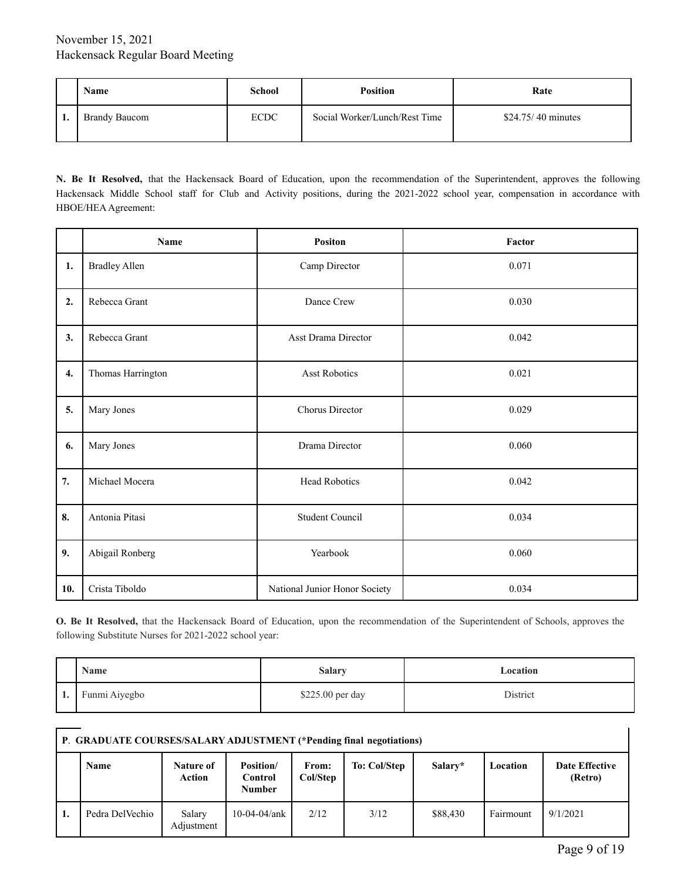| Name                 | School      | <b>Position</b>               | Rate               |
|----------------------|-------------|-------------------------------|--------------------|
| <b>Brandy Baucom</b> | <b>ECDC</b> | Social Worker/Lunch/Rest Time | \$24.75/40 minutes |

**N. Be It Resolved,** that the Hackensack Board of Education, upon the recommendation of the Superintendent, approves the following Hackensack Middle School staff for Club and Activity positions, during the 2021-2022 school year, compensation in accordance with HBOE/HEA Agreement:

|                    | Name                 | <b>Positon</b>                | Factor |
|--------------------|----------------------|-------------------------------|--------|
| 1.                 | <b>Bradley Allen</b> | Camp Director                 | 0.071  |
| 2.                 | Rebecca Grant        | Dance Crew                    | 0.030  |
| 3.                 | Rebecca Grant        | Asst Drama Director           | 0.042  |
| $\boldsymbol{4}$ . | Thomas Harrington    | <b>Asst Robotics</b>          | 0.021  |
| 5.                 | Mary Jones           | Chorus Director               | 0.029  |
| 6.                 | Mary Jones           | Drama Director                | 0.060  |
| 7.                 | Michael Mocera       | <b>Head Robotics</b>          | 0.042  |
| 8.                 | Antonia Pitasi       | <b>Student Council</b>        | 0.034  |
| 9.                 | Abigail Ronberg      | Yearbook                      | 0.060  |
| 10.                | Crista Tiboldo       | National Junior Honor Society | 0.034  |

**O. Be It Resolved,** that the Hackensack Board of Education, upon the recommendation of the Superintendent of Schools, approves the following Substitute Nurses for 2021-2022 school year:

|    | Name          | <b>Salary</b>    | Location |
|----|---------------|------------------|----------|
| ı. | Funmi Aiyegbo | \$225.00 per day | District |

# **P**. **GRADUATE COURSES/SALARY ADJUSTMENT (\*Pending final negotiations)**

|    | <b>Name</b>     | Nature of<br>Action  | <b>Position</b> /<br>Control<br><b>Number</b> | From:<br>Col/Step | To: Col/Step | Salary*  | Location  | <b>Date Effective</b><br>(Retro) |
|----|-----------------|----------------------|-----------------------------------------------|-------------------|--------------|----------|-----------|----------------------------------|
| ı. | Pedra DelVechio | Salary<br>Adjustment | $10-04-04/ank$                                | 2/12              | 3/12         | \$88,430 | Fairmount | 9/1/2021                         |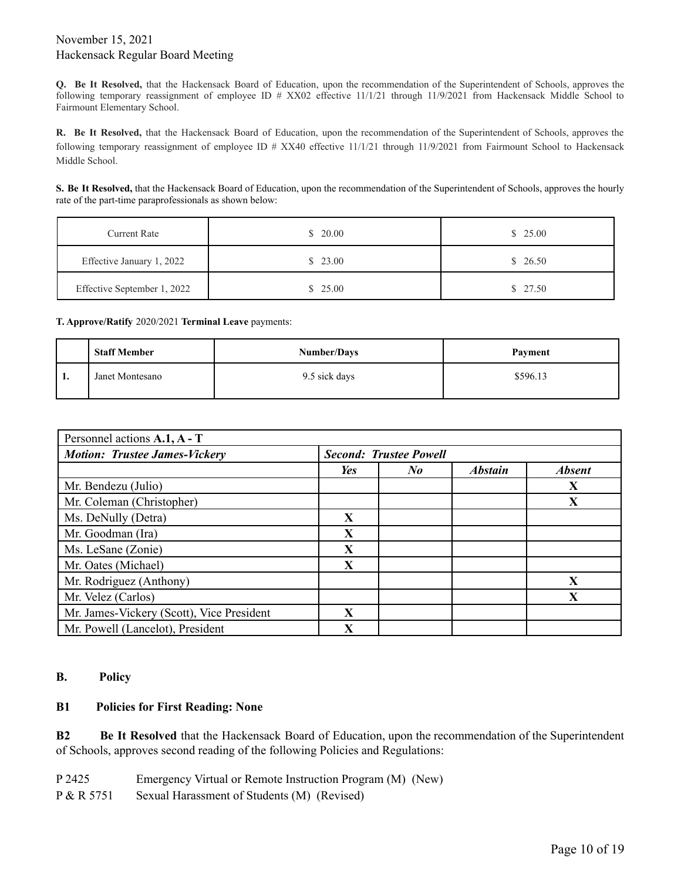**Q. Be It Resolved,** that the Hackensack Board of Education, upon the recommendation of the Superintendent of Schools, approves the following temporary reassignment of employee ID # XX02 effective 11/1/21 through 11/9/2021 from Hackensack Middle School to Fairmount Elementary School.

**R. Be It Resolved,** that the Hackensack Board of Education, upon the recommendation of the Superintendent of Schools, approves the following temporary reassignment of employee ID # XX40 effective 11/1/21 through 11/9/2021 from Fairmount School to Hackensack Middle School.

**S. Be It Resolved,** that the Hackensack Board of Education, upon the recommendation of the Superintendent of Schools, approves the hourly rate of the part-time paraprofessionals as shown below:

| <b>Current Rate</b>         | \$20.00 | \$25.00 |
|-----------------------------|---------|---------|
| Effective January 1, 2022   | \$23.00 | \$26.50 |
| Effective September 1, 2022 | \$25.00 | \$27.50 |

**T. Approve/Ratify** 2020/2021 **Terminal Leave** payments:

|     | <b>Staff Member</b> | <b>Number/Days</b> | Payment  |
|-----|---------------------|--------------------|----------|
| -1. | Janet Montesano     | 9.5 sick days      | \$596.13 |

| Personnel actions A.1, A - T              |     |                               |                |               |
|-------------------------------------------|-----|-------------------------------|----------------|---------------|
| <b>Motion: Trustee James-Vickery</b>      |     | <b>Second: Trustee Powell</b> |                |               |
|                                           | Yes | $N_{\boldsymbol{0}}$          | <b>Abstain</b> | <b>Absent</b> |
| Mr. Bendezu (Julio)                       |     |                               |                | X             |
| Mr. Coleman (Christopher)                 |     |                               |                | X             |
| Ms. DeNully (Detra)                       | X   |                               |                |               |
| Mr. Goodman (Ira)                         | X   |                               |                |               |
| Ms. LeSane (Zonie)                        | X   |                               |                |               |
| Mr. Oates (Michael)                       | X   |                               |                |               |
| Mr. Rodriguez (Anthony)                   |     |                               |                | X             |
| Mr. Velez (Carlos)                        |     |                               |                | X             |
| Mr. James-Vickery (Scott), Vice President | X   |                               |                |               |
| Mr. Powell (Lancelot), President          | X   |                               |                |               |

## **B. Policy**

## **B1 Policies for First Reading: None**

**B2 Be It Resolved** that the Hackensack Board of Education, upon the recommendation of the Superintendent of Schools, approves second reading of the following Policies and Regulations:

P 2425 Emergency Virtual or Remote Instruction Program (M) (New)

P & R 5751 Sexual Harassment of Students (M) (Revised)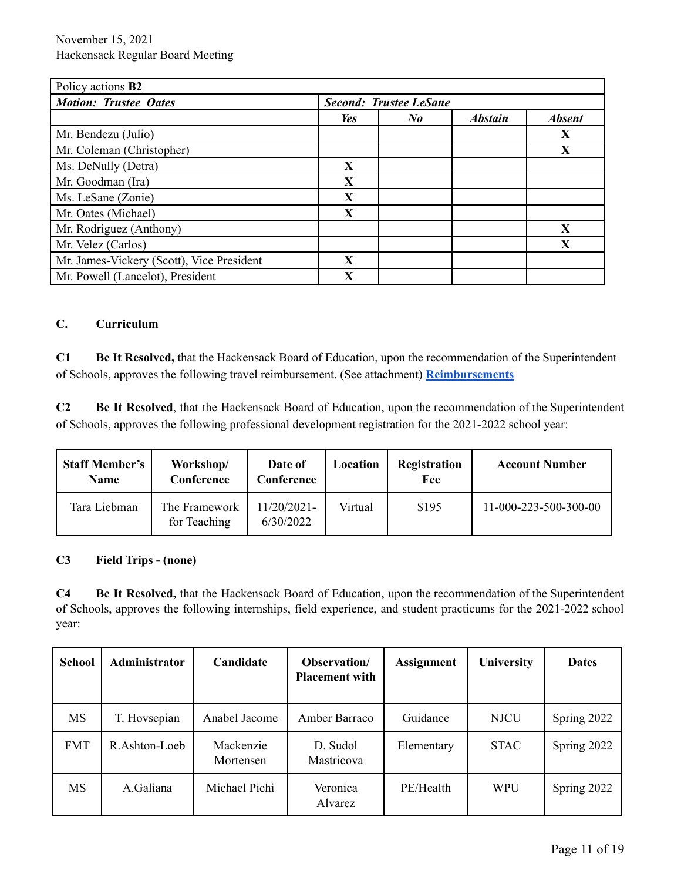| Policy actions <b>B2</b>                  |     |                               |                |               |
|-------------------------------------------|-----|-------------------------------|----------------|---------------|
| <b>Motion: Trustee Oates</b>              |     | <b>Second: Trustee LeSane</b> |                |               |
|                                           | Yes | $N_{\boldsymbol{0}}$          | <b>Abstain</b> | <b>Absent</b> |
| Mr. Bendezu (Julio)                       |     |                               |                | X             |
| Mr. Coleman (Christopher)                 |     |                               |                | X             |
| Ms. DeNully (Detra)                       | X   |                               |                |               |
| Mr. Goodman (Ira)                         | X   |                               |                |               |
| Ms. LeSane (Zonie)                        | X   |                               |                |               |
| Mr. Oates (Michael)                       | X   |                               |                |               |
| Mr. Rodriguez (Anthony)                   |     |                               |                | X             |
| Mr. Velez (Carlos)                        |     |                               |                | X             |
| Mr. James-Vickery (Scott), Vice President | X   |                               |                |               |
| Mr. Powell (Lancelot), President          | X   |                               |                |               |

## **C. Curriculum**

**C1 Be It Resolved,** that the Hackensack Board of Education, upon the recommendation of the Superintendent of Schools, approves the following travel reimbursement. (See attachment) **[Reimbursements](https://drive.google.com/file/d/1IYqPonM4SD2c85snoy0tNKFsOTYImMNm/view?usp=sharing)**

**C2 Be It Resolved**, that the Hackensack Board of Education, upon the recommendation of the Superintendent of Schools, approves the following professional development registration for the 2021-2022 school year:

| <b>Staff Member's</b><br>Name | Workshop/<br>Conference       | Date of<br>Conference    | Location | Registration<br>Fee | <b>Account Number</b> |
|-------------------------------|-------------------------------|--------------------------|----------|---------------------|-----------------------|
| Tara Liebman                  | The Framework<br>for Teaching | 11/20/2021-<br>6/30/2022 | Virtual  | \$195               | 11-000-223-500-300-00 |

## **C3 Field Trips - (none)**

**C4 Be It Resolved,** that the Hackensack Board of Education, upon the recommendation of the Superintendent of Schools, approves the following internships, field experience, and student practicums for the 2021-2022 school year:

| <b>School</b> | Administrator | Candidate              | Observation/<br><b>Placement with</b> | <b>Assignment</b> | University  | <b>Dates</b> |
|---------------|---------------|------------------------|---------------------------------------|-------------------|-------------|--------------|
| MS            | T. Hovsepian  | Anabel Jacome          | Amber Barraco                         | Guidance          | <b>NJCU</b> | Spring 2022  |
| <b>FMT</b>    | R.Ashton-Loeb | Mackenzie<br>Mortensen | D. Sudol<br>Mastricova                | Elementary        | <b>STAC</b> | Spring 2022  |
| MS            | A.Galiana     | Michael Pichi          | Veronica<br>Alvarez                   | PE/Health         | <b>WPU</b>  | Spring 2022  |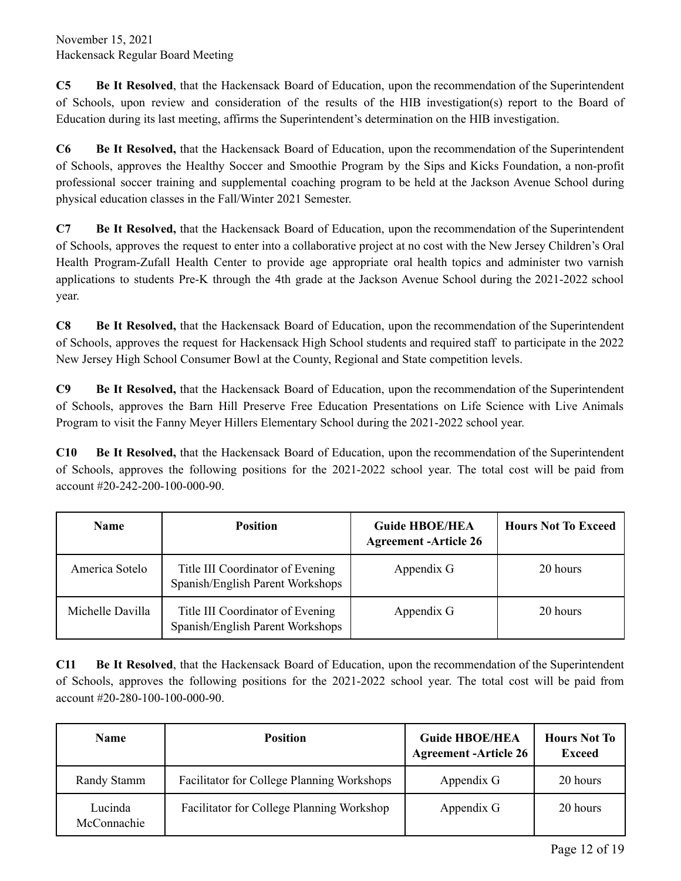**C5 Be It Resolved**, that the Hackensack Board of Education, upon the recommendation of the Superintendent of Schools, upon review and consideration of the results of the HIB investigation(s) report to the Board of Education during its last meeting, affirms the Superintendent's determination on the HIB investigation.

**C6 Be It Resolved,** that the Hackensack Board of Education, upon the recommendation of the Superintendent of Schools, approves the Healthy Soccer and Smoothie Program by the Sips and Kicks Foundation, a non-profit professional soccer training and supplemental coaching program to be held at the Jackson Avenue School during physical education classes in the Fall/Winter 2021 Semester.

**C7 Be It Resolved,** that the Hackensack Board of Education, upon the recommendation of the Superintendent of Schools, approves the request to enter into a collaborative project at no cost with the New Jersey Children's Oral Health Program-Zufall Health Center to provide age appropriate oral health topics and administer two varnish applications to students Pre-K through the 4th grade at the Jackson Avenue School during the 2021-2022 school year.

**C8 Be It Resolved,** that the Hackensack Board of Education, upon the recommendation of the Superintendent of Schools, approves the request for Hackensack High School students and required staff to participate in the 2022 New Jersey High School Consumer Bowl at the County, Regional and State competition levels.

**C9 Be It Resolved,** that the Hackensack Board of Education, upon the recommendation of the Superintendent of Schools, approves the Barn Hill Preserve Free Education Presentations on Life Science with Live Animals Program to visit the Fanny Meyer Hillers Elementary School during the 2021-2022 school year.

**C10 Be It Resolved,** that the Hackensack Board of Education, upon the recommendation of the Superintendent of Schools, approves the following positions for the 2021-2022 school year. The total cost will be paid from account #20-242-200-100-000-90.

| <b>Name</b>      | <b>Position</b>                                                      | <b>Guide HBOE/HEA</b><br><b>Agreement -Article 26</b> | <b>Hours Not To Exceed</b> |
|------------------|----------------------------------------------------------------------|-------------------------------------------------------|----------------------------|
| America Sotelo   | Title III Coordinator of Evening<br>Spanish/English Parent Workshops | Appendix G                                            | 20 hours                   |
| Michelle Davilla | Title III Coordinator of Evening<br>Spanish/English Parent Workshops | Appendix G                                            | 20 hours                   |

**C11 Be It Resolved**, that the Hackensack Board of Education, upon the recommendation of the Superintendent of Schools, approves the following positions for the 2021-2022 school year. The total cost will be paid from account #20-280-100-100-000-90.

| <b>Name</b>            | <b>Position</b>                                   | <b>Guide HBOE/HEA</b><br><b>Agreement -Article 26</b> | <b>Hours Not To</b><br><b>Exceed</b> |
|------------------------|---------------------------------------------------|-------------------------------------------------------|--------------------------------------|
| Randy Stamm            | <b>Facilitator for College Planning Workshops</b> | Appendix G                                            | 20 hours                             |
| Lucinda<br>McConnachie | <b>Facilitator for College Planning Workshop</b>  | Appendix G                                            | 20 hours                             |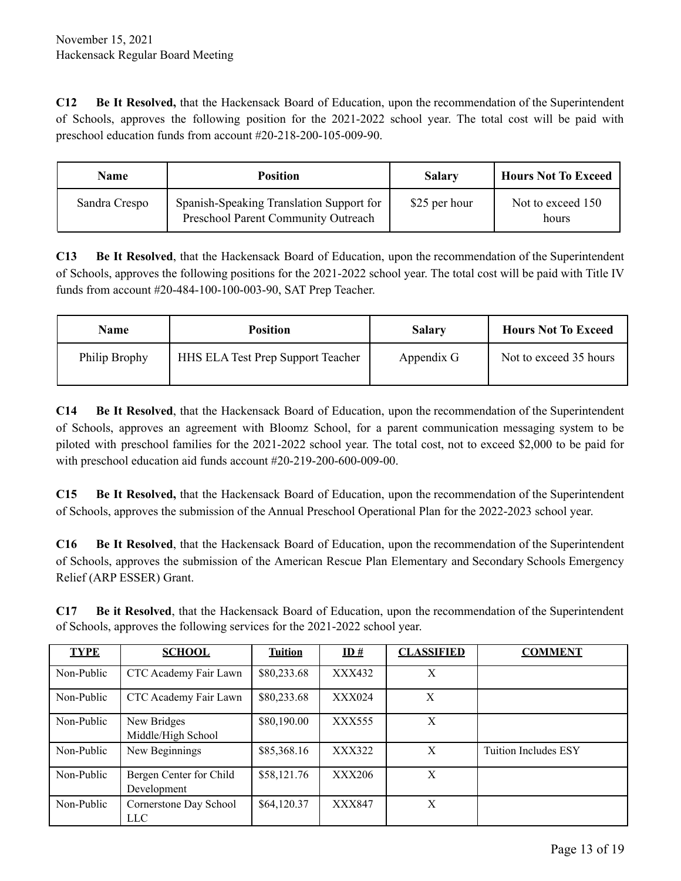**C12 Be It Resolved,** that the Hackensack Board of Education, upon the recommendation of the Superintendent of Schools, approves the following position for the 2021-2022 school year. The total cost will be paid with preschool education funds from account #20-218-200-105-009-90.

| <b>Name</b>   | <b>Position</b>                                                                 | <b>Salary</b> | <b>Hours Not To Exceed</b> |
|---------------|---------------------------------------------------------------------------------|---------------|----------------------------|
| Sandra Crespo | Spanish-Speaking Translation Support for<br>Preschool Parent Community Outreach | \$25 per hour | Not to exceed 150<br>hours |

**C13 Be It Resolved**, that the Hackensack Board of Education, upon the recommendation of the Superintendent of Schools, approves the following positions for the 2021-2022 school year. The total cost will be paid with Title IV funds from account #20-484-100-100-003-90, SAT Prep Teacher.

| Name          | <b>Position</b>                          | <b>Salary</b> | <b>Hours Not To Exceed</b> |
|---------------|------------------------------------------|---------------|----------------------------|
| Philip Brophy | <b>HHS ELA Test Prep Support Teacher</b> | Appendix G    | Not to exceed 35 hours     |

**C14 Be It Resolved**, that the Hackensack Board of Education, upon the recommendation of the Superintendent of Schools, approves an agreement with Bloomz School, for a parent communication messaging system to be piloted with preschool families for the 2021-2022 school year. The total cost, not to exceed \$2,000 to be paid for with preschool education aid funds account #20-219-200-600-009-00.

**C15 Be It Resolved,** that the Hackensack Board of Education, upon the recommendation of the Superintendent of Schools, approves the submission of the Annual Preschool Operational Plan for the 2022-2023 school year.

**C16 Be It Resolved**, that the Hackensack Board of Education, upon the recommendation of the Superintendent of Schools, approves the submission of the American Rescue Plan Elementary and Secondary Schools Emergency Relief (ARP ESSER) Grant.

| <b>TYPE</b> | <b>SCHOOL</b>                          | <b>Tuition</b> | ID#           | <b>CLASSIFIED</b> | <b>COMMENT</b>              |
|-------------|----------------------------------------|----------------|---------------|-------------------|-----------------------------|
| Non-Public  | CTC Academy Fair Lawn                  | \$80,233.68    | XXX432        | X                 |                             |
| Non-Public  | CTC Academy Fair Lawn                  | \$80,233.68    | <b>XXX024</b> | X                 |                             |
| Non-Public  | New Bridges<br>Middle/High School      | \$80,190.00    | XXX555        | X                 |                             |
| Non-Public  | New Beginnings                         | \$85,368.16    | XXX322        | X                 | <b>Tuition Includes ESY</b> |
| Non-Public  | Bergen Center for Child<br>Development | \$58,121.76    | <b>XXX206</b> | X                 |                             |
| Non-Public  | Cornerstone Day School<br><b>LLC</b>   | \$64,120.37    | XXX847        | X                 |                             |

**C17 Be it Resolved**, that the Hackensack Board of Education, upon the recommendation of the Superintendent of Schools, approves the following services for the 2021-2022 school year.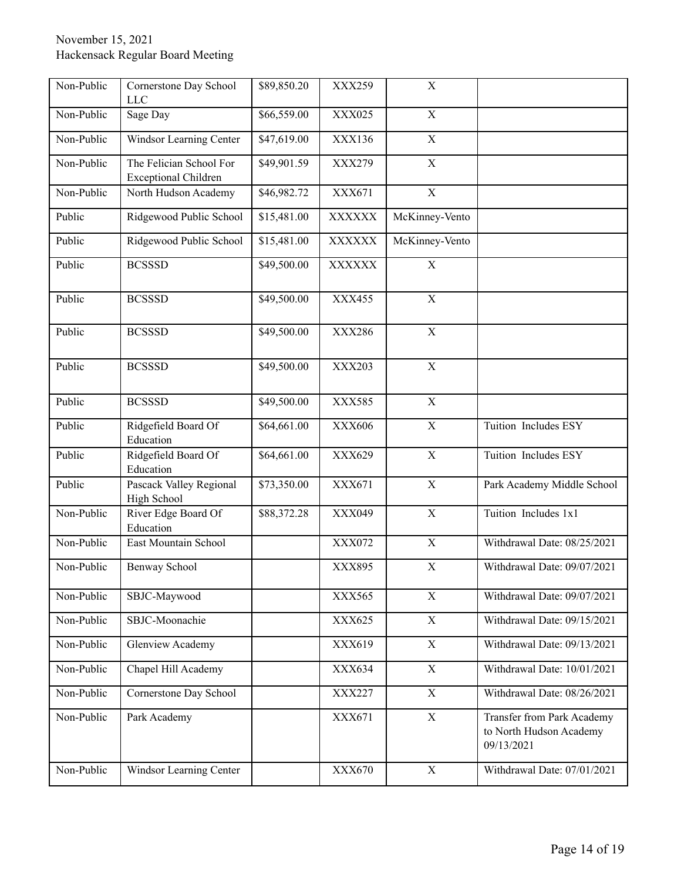| Non-Public | Cornerstone Day School<br><b>LLC</b>                   | \$89,850.20 | XXX259        | $\mathbf X$             |                                                                     |
|------------|--------------------------------------------------------|-------------|---------------|-------------------------|---------------------------------------------------------------------|
| Non-Public | Sage Day                                               | \$66,559.00 | XXX025        | $\mathbf X$             |                                                                     |
| Non-Public | Windsor Learning Center                                | \$47,619.00 | XXX136        | $\mathbf X$             |                                                                     |
| Non-Public | The Felician School For<br><b>Exceptional Children</b> | \$49,901.59 | XXX279        | $\mathbf X$             |                                                                     |
| Non-Public | North Hudson Academy                                   | \$46,982.72 | XXX671        | $\overline{X}$          |                                                                     |
| Public     | Ridgewood Public School                                | \$15,481.00 | <b>XXXXXX</b> | McKinney-Vento          |                                                                     |
| Public     | Ridgewood Public School                                | \$15,481.00 | <b>XXXXXX</b> | McKinney-Vento          |                                                                     |
| Public     | <b>BCSSSD</b>                                          | \$49,500.00 | <b>XXXXXX</b> | $\mathbf X$             |                                                                     |
| Public     | <b>BCSSSD</b>                                          | \$49,500.00 | XXX455        | $\overline{X}$          |                                                                     |
| Public     | <b>BCSSSD</b>                                          | \$49,500.00 | XXX286        | $\mathbf X$             |                                                                     |
| Public     | <b>BCSSSD</b>                                          | \$49,500.00 | XXX203        | $\mathbf X$             |                                                                     |
| Public     | <b>BCSSSD</b>                                          | \$49,500.00 | XXX585        | $\mathbf X$             |                                                                     |
| Public     | Ridgefield Board Of<br>Education                       | \$64,661.00 | XXX606        | $\mathbf X$             | Tuition Includes ESY                                                |
| Public     | Ridgefield Board Of<br>Education                       | \$64,661.00 | XXX629        | $\mathbf X$             | Tuition Includes ESY                                                |
| Public     | Pascack Valley Regional<br>High School                 | \$73,350.00 | XXX671        | $\mathbf X$             | Park Academy Middle School                                          |
| Non-Public | River Edge Board Of<br>Education                       | \$88,372.28 | XXX049        | $\mathbf X$             | Tuition Includes 1x1                                                |
| Non-Public | East Mountain School                                   |             | XXX072        | $\overline{X}$          | Withdrawal Date: 08/25/2021                                         |
| Non-Public | <b>Benway School</b>                                   |             | XXX895        | $\mathbf X$             | Withdrawal Date: 09/07/2021                                         |
| Non-Public | SBJC-Maywood                                           |             | XXX565        | $\overline{\mathbf{X}}$ | Withdrawal Date: 09/07/2021                                         |
| Non-Public | SBJC-Moonachie                                         |             | XXX625        | $\mathbf X$             | Withdrawal Date: 09/15/2021                                         |
| Non-Public | Glenview Academy                                       |             | XXX619        | $\mathbf X$             | Withdrawal Date: 09/13/2021                                         |
| Non-Public | Chapel Hill Academy                                    |             | XXX634        | $\mathbf X$             | Withdrawal Date: 10/01/2021                                         |
| Non-Public | Cornerstone Day School                                 |             | XXX227        | $\mathbf X$             | Withdrawal Date: 08/26/2021                                         |
| Non-Public | Park Academy                                           |             | XXX671        | $\mathbf X$             | Transfer from Park Academy<br>to North Hudson Academy<br>09/13/2021 |
| Non-Public | Windsor Learning Center                                |             | XXX670        | $\overline{X}$          | Withdrawal Date: 07/01/2021                                         |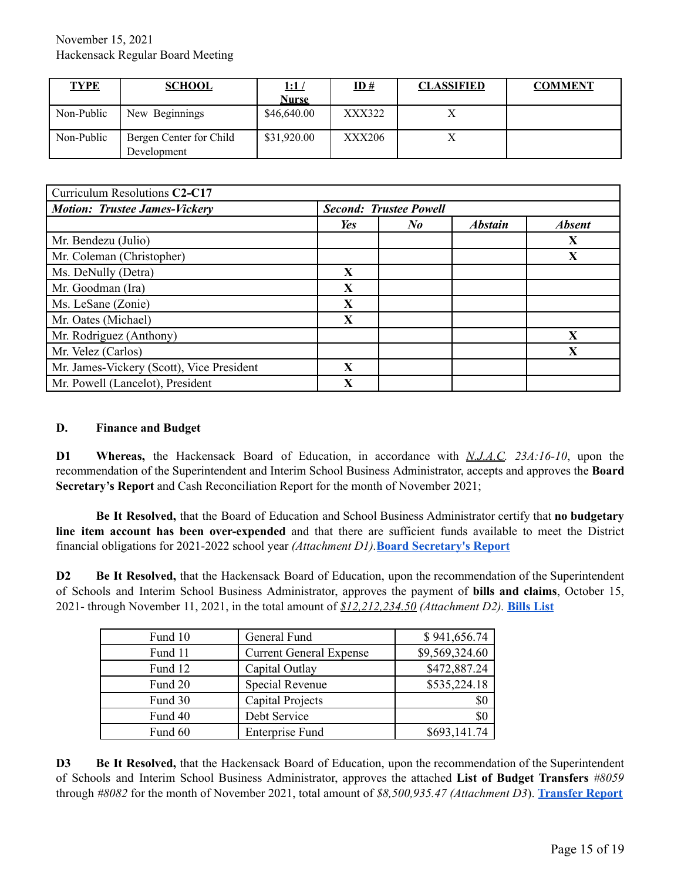| <b>TYPE</b> | <b>SCHOOL</b>                          | <u>1:1 /</u><br>Nurse | ID#    | <b>CLASSIFIED</b> | <b>COMMENT</b> |
|-------------|----------------------------------------|-----------------------|--------|-------------------|----------------|
| Non-Public  | New Beginnings                         | \$46,640.00           | XXX322 |                   |                |
| Non-Public  | Bergen Center for Child<br>Development | \$31,920.00           | XXX206 |                   |                |

| Curriculum Resolutions C2-C17             |                               |            |                |               |
|-------------------------------------------|-------------------------------|------------|----------------|---------------|
| <b>Motion: Trustee James-Vickery</b>      | <b>Second: Trustee Powell</b> |            |                |               |
|                                           | Yes                           | $\bf{N}$ o | <b>Abstain</b> | <b>Absent</b> |
| Mr. Bendezu (Julio)                       |                               |            |                | X             |
| Mr. Coleman (Christopher)                 |                               |            |                | X             |
| Ms. DeNully (Detra)                       | $\mathbf{X}$                  |            |                |               |
| Mr. Goodman (Ira)                         | X                             |            |                |               |
| Ms. LeSane (Zonie)                        | X                             |            |                |               |
| Mr. Oates (Michael)                       | X                             |            |                |               |
| Mr. Rodriguez (Anthony)                   |                               |            |                | X             |
| Mr. Velez (Carlos)                        |                               |            |                | X             |
| Mr. James-Vickery (Scott), Vice President | X                             |            |                |               |
| Mr. Powell (Lancelot), President          | X                             |            |                |               |

#### **D. Finance and Budget**

**D1 Whereas,** the Hackensack Board of Education, in accordance with *N.J.A.C. 23A:16-10*, upon the recommendation of the Superintendent and Interim School Business Administrator, accepts and approves the **Board Secretary's Report** and Cash Reconciliation Report for the month of November 2021;

**Be It Resolved,** that the Board of Education and School Business Administrator certify that **no budgetary line item account has been over-expended** and that there are sufficient funds available to meet the District financial obligations for 2021-2022 school year *(Attachment D1).***Board [Secretary's](https://drive.google.com/file/d/1HJ26rR_n2GNvo7NvNuCTZYbGefWUjguC/view?usp=sharing) Report**

**D2 Be It Resolved,** that the Hackensack Board of Education, upon the recommendation of the Superintendent of Schools and Interim School Business Administrator, approves the payment of **bills and claims**, October 15, 2021- through November 11, 2021, in the total amount of *\$12,212,234.50 (Attachment D2).* **[Bills](https://drive.google.com/file/d/18SfS_wii7tB8ING3Sg0RwQ-p_ZZLvOzy/view?usp=sharing) List**

| Fund 10 | General Fund                   | \$941,656.74   |
|---------|--------------------------------|----------------|
| Fund 11 | <b>Current General Expense</b> | \$9,569,324.60 |
| Fund 12 | Capital Outlay                 | \$472,887.24   |
| Fund 20 | Special Revenue                | \$535,224.18   |
| Fund 30 | Capital Projects               | \$0            |
| Fund 40 | Debt Service                   | \$0            |
| Fund 60 | <b>Enterprise Fund</b>         | \$693,141.74   |

**D3 Be It Resolved,** that the Hackensack Board of Education, upon the recommendation of the Superintendent of Schools and Interim School Business Administrator, approves the attached **List of Budget Transfers** *#8059* through *#8082* for the month of November 2021, total amount of *\$8,500,935.47 (Attachment D3*). **[Transfer](https://drive.google.com/file/d/1978fSX4H8bhfr3itR2B3zVPXRFgFySn7/view?usp=sharing) Report**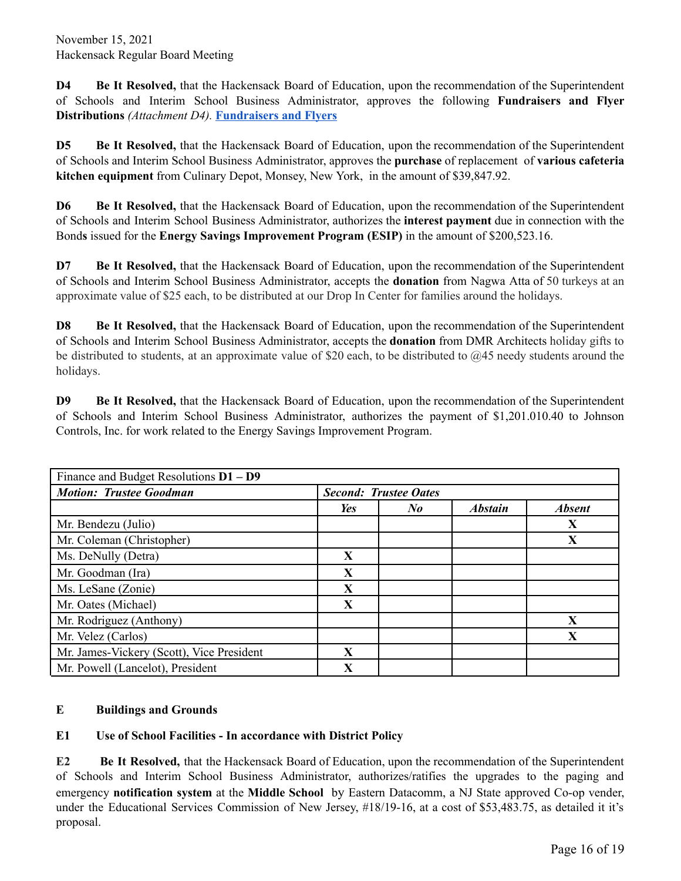**D4 Be It Resolved,** that the Hackensack Board of Education, upon the recommendation of the Superintendent of Schools and Interim School Business Administrator, approves the following **Fundraisers and Flyer Distributions** *(Attachment D4).* **[Fundraisers](https://drive.google.com/file/d/1bzHXIXnTI1kj0fd4Fixa5qPr4DvmoH9h/view?usp=sharing) and Flyers**

**D5 Be It Resolved,** that the Hackensack Board of Education, upon the recommendation of the Superintendent of Schools and Interim School Business Administrator, approves the **purchase** of replacement of **various cafeteria kitchen equipment** from Culinary Depot, Monsey, New York, in the amount of \$39,847.92.

**D6 Be It Resolved,** that the Hackensack Board of Education, upon the recommendation of the Superintendent of Schools and Interim School Business Administrator, authorizes the **interest payment** due in connection with the Bond**s** issued for the **Energy Savings Improvement Program (ESIP)** in the amount of \$200,523.16.

**D7 Be It Resolved,** that the Hackensack Board of Education, upon the recommendation of the Superintendent of Schools and Interim School Business Administrator, accepts the **donation** from Nagwa Atta of 50 turkeys at an approximate value of \$25 each, to be distributed at our Drop In Center for families around the holidays.

**D8 Be It Resolved,** that the Hackensack Board of Education, upon the recommendation of the Superintendent of Schools and Interim School Business Administrator, accepts the **donation** from DMR Architects holiday gifts to be distributed to students, at an approximate value of \$20 each, to be distributed to  $\omega$ 45 needy students around the holidays.

**D9 Be It Resolved,** that the Hackensack Board of Education, upon the recommendation of the Superintendent of Schools and Interim School Business Administrator, authorizes the payment of \$1,201.010.40 to Johnson Controls, Inc. for work related to the Energy Savings Improvement Program.

| Finance and Budget Resolutions $D1 - D9$  |                              |                      |                |               |  |
|-------------------------------------------|------------------------------|----------------------|----------------|---------------|--|
| <b>Motion: Trustee Goodman</b>            | <b>Second: Trustee Oates</b> |                      |                |               |  |
|                                           | Yes                          | $N_{\boldsymbol{0}}$ | <b>Abstain</b> | <b>Absent</b> |  |
| Mr. Bendezu (Julio)                       |                              |                      |                | X             |  |
| Mr. Coleman (Christopher)                 |                              |                      |                | X             |  |
| Ms. DeNully (Detra)                       | X                            |                      |                |               |  |
| Mr. Goodman (Ira)                         | X                            |                      |                |               |  |
| Ms. LeSane (Zonie)                        | X                            |                      |                |               |  |
| Mr. Oates (Michael)                       | X                            |                      |                |               |  |
| Mr. Rodriguez (Anthony)                   |                              |                      |                | X             |  |
| Mr. Velez (Carlos)                        |                              |                      |                | X             |  |
| Mr. James-Vickery (Scott), Vice President | $\mathbf{X}$                 |                      |                |               |  |
| Mr. Powell (Lancelot), President          | $\mathbf X$                  |                      |                |               |  |

## **E Buildings and Grounds**

# **E1 Use of School Facilities - In accordance with District Policy**

**E2 Be It Resolved,** that the Hackensack Board of Education, upon the recommendation of the Superintendent of Schools and Interim School Business Administrator, authorizes/ratifies the upgrades to the paging and emergency **notification system** at the **Middle School** by Eastern Datacomm, a NJ State approved Co-op vender, under the Educational Services Commission of New Jersey, #18/19-16, at a cost of \$53,483.75, as detailed it it's proposal.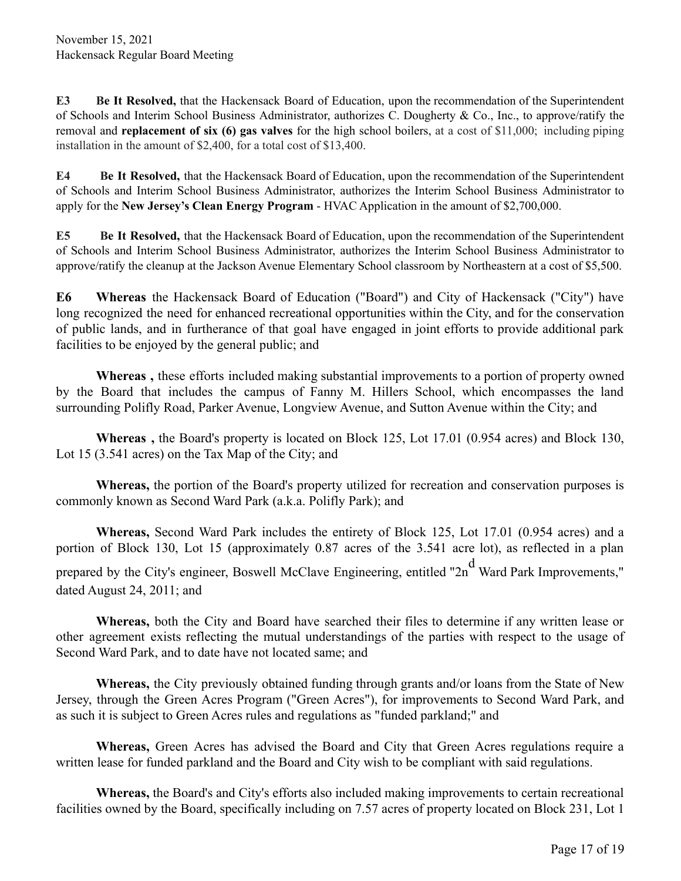**E3 Be It Resolved,** that the Hackensack Board of Education, upon the recommendation of the Superintendent of Schools and Interim School Business Administrator, authorizes C. Dougherty & Co., Inc., to approve/ratify the removal and **replacement of six (6) gas valves** for the high school boilers, at a cost of \$11,000; including piping installation in the amount of \$2,400, for a total cost of \$13,400.

**E4 Be It Resolved,** that the Hackensack Board of Education, upon the recommendation of the Superintendent of Schools and Interim School Business Administrator, authorizes the Interim School Business Administrator to apply for the **New Jersey's Clean Energy Program** - HVAC Application in the amount of \$2,700,000.

**E5 Be It Resolved,** that the Hackensack Board of Education, upon the recommendation of the Superintendent of Schools and Interim School Business Administrator, authorizes the Interim School Business Administrator to approve/ratify the cleanup at the Jackson Avenue Elementary School classroom by Northeastern at a cost of \$5,500.

**E6 Whereas** the Hackensack Board of Education ("Board") and City of Hackensack ("City") have long recognized the need for enhanced recreational opportunities within the City, and for the conservation of public lands, and in furtherance of that goal have engaged in joint efforts to provide additional park facilities to be enjoyed by the general public; and

**Whereas ,** these efforts included making substantial improvements to a portion of property owned by the Board that includes the campus of Fanny M. Hillers School, which encompasses the land surrounding Polifly Road, Parker Avenue, Longview Avenue, and Sutton Avenue within the City; and

**Whereas ,** the Board's property is located on Block 125, Lot 17.01 (0.954 acres) and Block 130, Lot 15 (3.541 acres) on the Tax Map of the City; and

**Whereas,** the portion of the Board's property utilized for recreation and conservation purposes is commonly known as Second Ward Park (a.k.a. Polifly Park); and

**Whereas,** Second Ward Park includes the entirety of Block 125, Lot 17.01 (0.954 acres) and a portion of Block 130, Lot 15 (approximately 0.87 acres of the 3.541 acre lot), as reflected in a plan prepared by the City's engineer, Boswell McClave Engineering, entitled "2n<sup>d</sup> Ward Park Improvements." dated August 24, 2011; and

**Whereas,** both the City and Board have searched their files to determine if any written lease or other agreement exists reflecting the mutual understandings of the parties with respect to the usage of Second Ward Park, and to date have not located same; and

**Whereas,** the City previously obtained funding through grants and/or loans from the State of New Jersey, through the Green Acres Program ("Green Acres"), for improvements to Second Ward Park, and as such it is subject to Green Acres rules and regulations as "funded parkland;" and

**Whereas,** Green Acres has advised the Board and City that Green Acres regulations require a written lease for funded parkland and the Board and City wish to be compliant with said regulations.

**Whereas,** the Board's and City's efforts also included making improvements to certain recreational facilities owned by the Board, specifically including on 7.57 acres of property located on Block 231, Lot 1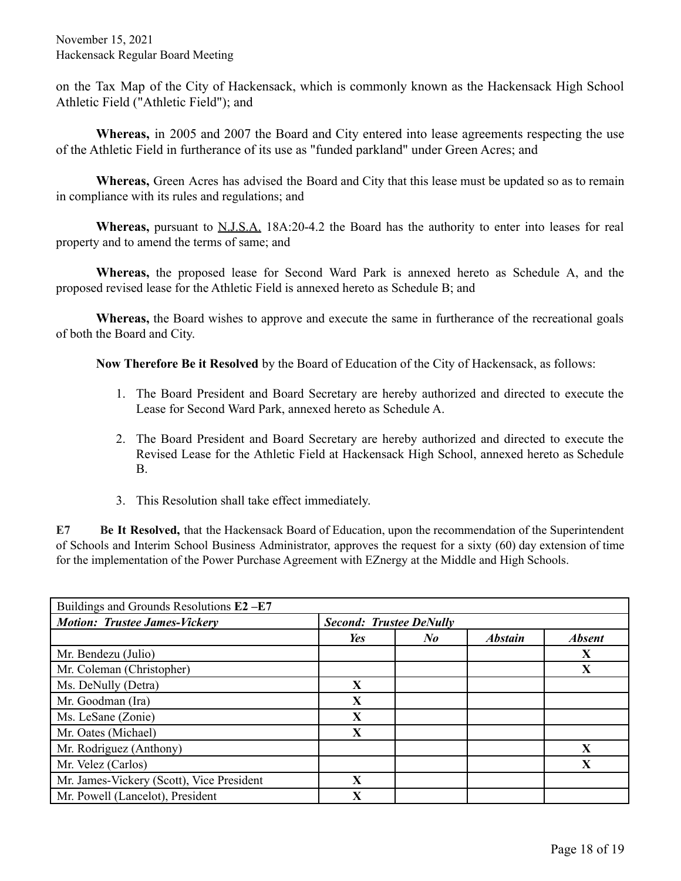on the Tax Map of the City of Hackensack, which is commonly known as the Hackensack High School Athletic Field ("Athletic Field"); and

**Whereas,** in 2005 and 2007 the Board and City entered into lease agreements respecting the use of the Athletic Field in furtherance of its use as "funded parkland" under Green Acres; and

**Whereas,** Green Acres has advised the Board and City that this lease must be updated so as to remain in compliance with its rules and regulations; and

**Whereas,** pursuant to N.J.S.A. 18A:20-4.2 the Board has the authority to enter into leases for real property and to amend the terms of same; and

**Whereas,** the proposed lease for Second Ward Park is annexed hereto as Schedule A, and the proposed revised lease for the Athletic Field is annexed hereto as Schedule B; and

**Whereas,** the Board wishes to approve and execute the same in furtherance of the recreational goals of both the Board and City.

**Now Therefore Be it Resolved** by the Board of Education of the City of Hackensack, as follows:

- 1. The Board President and Board Secretary are hereby authorized and directed to execute the Lease for Second Ward Park, annexed hereto as Schedule A.
- 2. The Board President and Board Secretary are hereby authorized and directed to execute the Revised Lease for the Athletic Field at Hackensack High School, annexed hereto as Schedule B.
- 3. This Resolution shall take effect immediately.

**E7 Be It Resolved,** that the Hackensack Board of Education, upon the recommendation of the Superintendent of Schools and Interim School Business Administrator, approves the request for a sixty (60) day extension of time for the implementation of the Power Purchase Agreement with EZnergy at the Middle and High Schools.

| Buildings and Grounds Resolutions E2-E7   |                                |                      |                |               |
|-------------------------------------------|--------------------------------|----------------------|----------------|---------------|
| <b>Motion: Trustee James-Vickery</b>      | <b>Second: Trustee DeNully</b> |                      |                |               |
|                                           | <b>Yes</b>                     | $N_{\boldsymbol{0}}$ | <b>Abstain</b> | <b>Absent</b> |
| Mr. Bendezu (Julio)                       |                                |                      |                | X             |
| Mr. Coleman (Christopher)                 |                                |                      |                | X             |
| Ms. DeNully (Detra)                       | $\mathbf{X}$                   |                      |                |               |
| Mr. Goodman (Ira)                         | X                              |                      |                |               |
| Ms. LeSane (Zonie)                        | X                              |                      |                |               |
| Mr. Oates (Michael)                       | X                              |                      |                |               |
| Mr. Rodriguez (Anthony)                   |                                |                      |                | X             |
| Mr. Velez (Carlos)                        |                                |                      |                | X             |
| Mr. James-Vickery (Scott), Vice President | $\mathbf X$                    |                      |                |               |
| Mr. Powell (Lancelot), President          | X                              |                      |                |               |